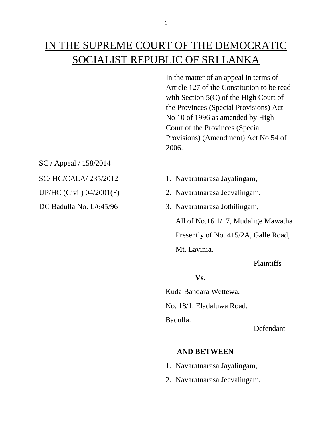# IN THE SUPREME COURT OF THE DEMOCRATIC SOCIALIST REPUBLIC OF SRI LANKA

In the matter of an appeal in terms of Article 127 of the Constitution to be read with Section 5(C) of the High Court of the Provinces (Special Provisions) Act No 10 of 1996 as amended by High Court of the Provinces (Special Provisions) (Amendment) Act No 54 of 2006.

SC / Appeal / 158/2014

- SC/ HC/CALA/ 235/2012 1. Navaratnarasa Jayalingam,
- UP/HC (Civil) 04/2001(F) 2. Navaratnarasa Jeevalingam,
- DC Badulla No. L/645/96 3. Navaratnarasa Jothilingam,

All of No.16 1/17, Mudalige Mawatha Presently of No. 415/2A, Galle Road, Mt. Lavinia.

Plaintiffs

## **Vs.**

Kuda Bandara Wettewa, No. 18/1, Eladaluwa Road, Badulla.

Defendant

## **AND BETWEEN**

- 1. Navaratnarasa Jayalingam,
- 2. Navaratnarasa Jeevalingam,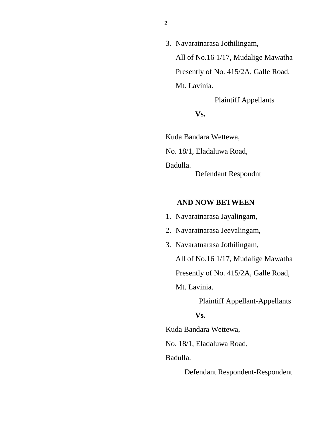3. Navaratnarasa Jothilingam, All of No.16 1/17, Mudalige Mawatha Presently of No. 415/2A, Galle Road, Mt. Lavinia.

Plaintiff Appellants

**Vs.**

Kuda Bandara Wettewa, No. 18/1, Eladaluwa Road, Badulla. Defendant Respondnt

### **AND NOW BETWEEN**

- 1. Navaratnarasa Jayalingam,
- 2. Navaratnarasa Jeevalingam,
- 3. Navaratnarasa Jothilingam,

All of No.16 1/17, Mudalige Mawatha

Presently of No. 415/2A, Galle Road,

Mt. Lavinia.

Plaintiff Appellant-Appellants

#### **Vs.**

Kuda Bandara Wettewa,

No. 18/1, Eladaluwa Road,

Badulla.

Defendant Respondent-Respondent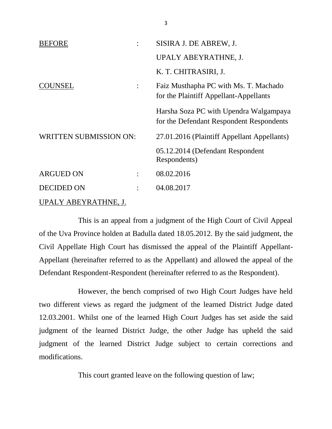| <b>BEFORE</b>                      | SISIRA J. DE ABREW, J.                                                             |
|------------------------------------|------------------------------------------------------------------------------------|
|                                    | UPALY ABEYRATHNE, J.                                                               |
|                                    | K. T. CHITRASIRI, J.                                                               |
| COUNSEL<br>$\ddot{\cdot}$          | Faiz Musthapha PC with Ms. T. Machado<br>for the Plaintiff Appellant-Appellants    |
|                                    | Harsha Soza PC with Upendra Walgampaya<br>for the Defendant Respondent Respondents |
| <b>WRITTEN SUBMISSION ON:</b>      | 27.01.2016 (Plaintiff Appellant Appellants)                                        |
|                                    | 05.12.2014 (Defendant Respondent<br>Respondents)                                   |
| <b>ARGUED ON</b><br>$\ddot{\cdot}$ | 08.02.2016                                                                         |
| <b>DECIDED ON</b>                  | 04.08.2017                                                                         |
| UPALY ABEYRATHNE, J.               |                                                                                    |

This is an appeal from a judgment of the High Court of Civil Appeal of the Uva Province holden at Badulla dated 18.05.2012. By the said judgment, the Civil Appellate High Court has dismissed the appeal of the Plaintiff Appellant-Appellant (hereinafter referred to as the Appellant) and allowed the appeal of the Defendant Respondent-Respondent (hereinafter referred to as the Respondent).

However, the bench comprised of two High Court Judges have held two different views as regard the judgment of the learned District Judge dated 12.03.2001. Whilst one of the learned High Court Judges has set aside the said judgment of the learned District Judge, the other Judge has upheld the said judgment of the learned District Judge subject to certain corrections and modifications.

This court granted leave on the following question of law;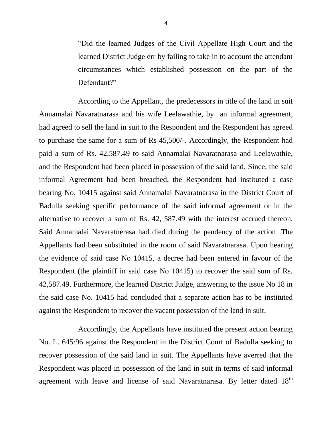"Did the learned Judges of the Civil Appellate High Court and the learned District Judge err by failing to take in to account the attendant circumstances which established possession on the part of the Defendant?"

According to the Appellant, the predecessors in title of the land in suit Annamalai Navaratnarasa and his wife Leelawathie, by an informal agreement, had agreed to sell the land in suit to the Respondent and the Respondent has agreed to purchase the same for a sum of Rs 45,500/-. Accordingly, the Respondent had paid a sum of Rs. 42,587.49 to said Annamalai Navaratnarasa and Leelawathie, and the Respondent had been placed in possession of the said land. Since, the said informal Agreement had been breached, the Respondent had instituted a case bearing No. 10415 against said Annamalai Navaratnarasa in the District Court of Badulla seeking specific performance of the said informal agreement or in the alternative to recover a sum of Rs. 42, 587.49 with the interest accrued thereon. Said Annamalai Navaratnerasa had died during the pendency of the action. The Appellants had been substituted in the room of said Navaratnarasa. Upon hearing the evidence of said case No 10415, a decree had been entered in favour of the Respondent (the plaintiff in said case No 10415) to recover the said sum of Rs. 42,587.49. Furthermore, the learned District Judge, answering to the issue No 18 in the said case No. 10415 had concluded that a separate action has to be instituted against the Respondent to recover the vacant possession of the land in suit.

Accordingly, the Appellants have instituted the present action bearing No. L. 645/96 against the Respondent in the District Court of Badulla seeking to recover possession of the said land in suit. The Appellants have averred that the Respondent was placed in possession of the land in suit in terms of said informal agreement with leave and license of said Navaratnarasa. By letter dated 18<sup>th</sup>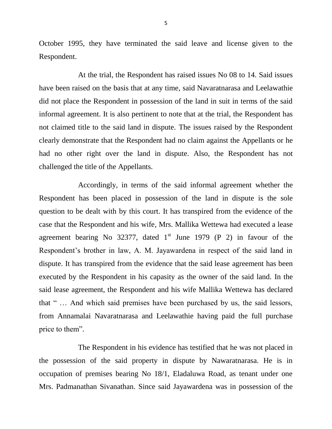October 1995, they have terminated the said leave and license given to the Respondent.

At the trial, the Respondent has raised issues No 08 to 14. Said issues have been raised on the basis that at any time, said Navaratnarasa and Leelawathie did not place the Respondent in possession of the land in suit in terms of the said informal agreement. It is also pertinent to note that at the trial, the Respondent has not claimed title to the said land in dispute. The issues raised by the Respondent clearly demonstrate that the Respondent had no claim against the Appellants or he had no other right over the land in dispute. Also, the Respondent has not challenged the title of the Appellants.

Accordingly, in terms of the said informal agreement whether the Respondent has been placed in possession of the land in dispute is the sole question to be dealt with by this court. It has transpired from the evidence of the case that the Respondent and his wife, Mrs. Mallika Wettewa had executed a lease agreement bearing No  $32377$ , dated 1<sup>st</sup> June 1979 (P 2) in favour of the Respondent's brother in law, A. M. Jayawardena in respect of the said land in dispute. It has transpired from the evidence that the said lease agreement has been executed by the Respondent in his capasity as the owner of the said land. In the said lease agreement, the Respondent and his wife Mallika Wettewa has declared that " … And which said premises have been purchased by us, the said lessors, from Annamalai Navaratnarasa and Leelawathie having paid the full purchase price to them".

The Respondent in his evidence has testified that he was not placed in the possession of the said property in dispute by Nawaratnarasa. He is in occupation of premises bearing No 18/1, Eladaluwa Road, as tenant under one Mrs. Padmanathan Sivanathan. Since said Jayawardena was in possession of the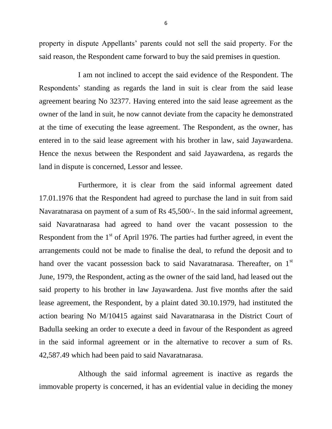property in dispute Appellants' parents could not sell the said property. For the said reason, the Respondent came forward to buy the said premises in question.

I am not inclined to accept the said evidence of the Respondent. The Respondents' standing as regards the land in suit is clear from the said lease agreement bearing No 32377. Having entered into the said lease agreement as the owner of the land in suit, he now cannot deviate from the capacity he demonstrated at the time of executing the lease agreement. The Respondent, as the owner, has entered in to the said lease agreement with his brother in law, said Jayawardena. Hence the nexus between the Respondent and said Jayawardena, as regards the land in dispute is concerned, Lessor and lessee.

Furthermore, it is clear from the said informal agreement dated 17.01.1976 that the Respondent had agreed to purchase the land in suit from said Navaratnarasa on payment of a sum of Rs 45,500/-. In the said informal agreement, said Navaratnarasa had agreed to hand over the vacant possession to the Respondent from the  $1<sup>st</sup>$  of April 1976. The parties had further agreed, in event the arrangements could not be made to finalise the deal, to refund the deposit and to hand over the vacant possession back to said Navaratnarasa. Thereafter, on 1<sup>st</sup> June, 1979, the Respondent, acting as the owner of the said land, had leased out the said property to his brother in law Jayawardena. Just five months after the said lease agreement, the Respondent, by a plaint dated 30.10.1979, had instituted the action bearing No M/10415 against said Navaratnarasa in the District Court of Badulla seeking an order to execute a deed in favour of the Respondent as agreed in the said informal agreement or in the alternative to recover a sum of Rs. 42,587.49 which had been paid to said Navaratnarasa.

Although the said informal agreement is inactive as regards the immovable property is concerned, it has an evidential value in deciding the money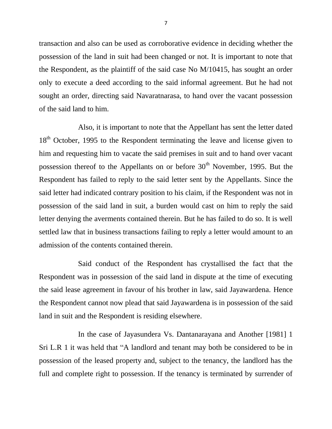transaction and also can be used as corroborative evidence in deciding whether the possession of the land in suit had been changed or not. It is important to note that the Respondent, as the plaintiff of the said case No M/10415, has sought an order only to execute a deed according to the said informal agreement. But he had not sought an order, directing said Navaratnarasa, to hand over the vacant possession of the said land to him.

Also, it is important to note that the Appellant has sent the letter dated 18<sup>th</sup> October, 1995 to the Respondent terminating the leave and license given to him and requesting him to vacate the said premises in suit and to hand over vacant possession thereof to the Appellants on or before  $30<sup>th</sup>$  November, 1995. But the Respondent has failed to reply to the said letter sent by the Appellants. Since the said letter had indicated contrary position to his claim, if the Respondent was not in possession of the said land in suit, a burden would cast on him to reply the said letter denying the averments contained therein. But he has failed to do so. It is well settled law that in business transactions failing to reply a letter would amount to an admission of the contents contained therein.

Said conduct of the Respondent has crystallised the fact that the Respondent was in possession of the said land in dispute at the time of executing the said lease agreement in favour of his brother in law, said Jayawardena. Hence the Respondent cannot now plead that said Jayawardena is in possession of the said land in suit and the Respondent is residing elsewhere.

In the case of Jayasundera Vs. Dantanarayana and Another [1981] 1 Sri L.R 1 it was held that "A landlord and tenant may both be considered to be in possession of the leased property and, subject to the tenancy, the landlord has the full and complete right to possession. If the tenancy is terminated by surrender of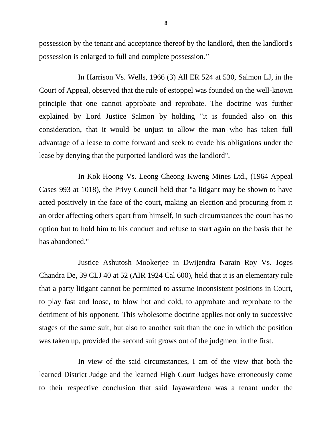possession by the tenant and acceptance thereof by the landlord, then the landlord's possession is enlarged to full and complete possession."

In Harrison Vs. Wells, 1966 (3) All ER 524 at 530, Salmon LJ, in the Court of Appeal, observed that the rule of estoppel was founded on the well-known principle that one cannot approbate and reprobate. The doctrine was further explained by Lord Justice Salmon by holding "it is founded also on this consideration, that it would be unjust to allow the man who has taken full advantage of a lease to come forward and seek to evade his obligations under the lease by denying that the purported landlord was the landlord".

In Kok Hoong Vs. Leong Cheong Kweng Mines Ltd., (1964 Appeal Cases 993 at 1018), the Privy Council held that "a litigant may be shown to have acted positively in the face of the court, making an election and procuring from it an order affecting others apart from himself, in such circumstances the court has no option but to hold him to his conduct and refuse to start again on the basis that he has abandoned."

Justice Ashutosh Mookerjee in [Dwijendra Narain Roy Vs. Joges](https://indiankanoon.org/doc/430967/)  [Chandra De,](https://indiankanoon.org/doc/430967/) 39 CLJ 40 at 52 (AIR 1924 Cal 600), held that it is an elementary rule that a party litigant cannot be permitted to assume inconsistent positions in Court, to play fast and loose, to blow hot and cold, to approbate and reprobate to the detriment of his opponent. This wholesome doctrine applies not only to successive stages of the same suit, but also to another suit than the one in which the position was taken up, provided the second suit grows out of the judgment in the first.

In view of the said circumstances, I am of the view that both the learned District Judge and the learned High Court Judges have erroneously come to their respective conclusion that said Jayawardena was a tenant under the